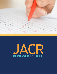

# JACR REVIEWER TOOLKIT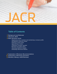

### **Table of Contents**

- **3** [Background and Rationale](#page-2-0)
- [About the](#page-2-0) *JACR* **3**
- 4 [Basic Reviewer Guide](#page-3-0):

*[Registering to be a reviewer and maintaining a reviewer profile](#page-3-0) [Accepting an article for review](#page-4-0) [Entering a review online](#page-4-0) [Approaching a review](#page-5-0) [Following a reviewer checklist](#page-6-0) [Reviewer and author ethics](#page-6-0)  [Assessing statistical integrity](#page-7-0) [Evaluating referenced material](#page-7-0)*

- [Explanation of Reviewer Recommendations](#page-8-0)  **9**
- [Explanation of Reviewer Evaluation](#page-9-0) **10**
- [Benefits of Being a](#page-10-0) *JACR* Reviewer **11**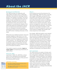### <span id="page-2-0"></span>**Background and Rationale**

The *JACR* provides its readership with high-quality innovative work in diagnostic radiology, interventional radiology, medical physics, and radiation oncology. This proud tradition is undeniably dependent upon the quality of work submitted and chosen for publication. Reviewers for the journal act as shepherds of this work and are a vital component in protecting the integrity of the *JACR*. Recruiting and maintaining a diverse pool of inspired and passionate reviewers who are motivated to provide excellent assessment of the journal content will help the *JACR* remain a leading showcase of new ideas.

While there are scattered reviewer resources available digitally, to date there is no comprehensive collection of materials to recruit, onboard, educate, evaluate and support the *JACR* reviewers. The *JACR* Reviewer Toolkit is created as part of a strategic plan to systematically support article review, thereby ultimately helping the *JACR* maintain a tradition of innovative excellence.

This toolkit is meant to provide a **basic reviewer guide** encompassing all elements of *JACR* review.

### **About the** *JACR*

Launched in 2004, the *JACR* fills a unique niche in the radiology journal landscape. Read more about the history of the journal in the following *JACR* articles:

### *JACR* **Now and Then**

Ten Years of *JACR*[—A Personal History, Part 1:](https://www.jacr.org/article/S1546-1440(12)00579-0/fulltext)  [The Run-up to a New Journal](https://www.jacr.org/article/S1546-1440(12)00579-0/fulltext)

Ten Years of *JACR*[—A Personal History, Part 2:](https://www.jacr.org/article/S1546-1440(12)00578-9/fulltext)  [The Making of a Journal](https://www.jacr.org/article/S1546-1440(12)00578-9/fulltext)

### **Mission**

As the official journal of the American College of Radiology, *JACR* will inform, educate, and engage radiologists, giving them the information and tools they need to provide evidence-based, patient-centric imaging care while moving the science of radiology forward. The five pillars of our content are health services research and policy, clinical practice management, data science, leadership, and training and education. The journal will explore and adopt innovations in the delivery of content through print, online, and social media to engage with broader audiences beyond our core readers.

As a leader, *JACR* will publish novel material that will help shape health care policy and the economics of imaging-related practice while remaining focused on delivering patient care efficiently and effectively. *JACR* is dedicated to earning the trust of readers, engaging with them on timely topics, making editorial decisions based on data and evidence, increasing and promoting methodological excellence, ensuring the integrity of peer review, and adhering to the highest standard of publication and editorial ethics.

### **Aims and Scope**

The *JACR* informs its readers of timely, pertinent, and important topics affecting the practice of diagnostic radiologists, interventional radiologists, medical physicists, and radiation oncologists. In so doing, *JACR* improves their practices and helps optimize their role in the health care system. By providing a forum for informative, well-written articles on health policy, clinical practice, practice management, data science, and education, *JACR* engages readers in a dialogue that ultimately benefits patient care.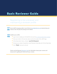# <span id="page-3-0"></span>Basic Reviewer Guide

Registering to be a reviewer and maintaining a reviewer profile

Email *JACR* managing editor Laura Simson ([jacr@jjeditorial.com\)](mailto:jacr@jjeditorial.com) expressing your STEP interest. She will pass this along to the editors. 01

### **STEP** Update your profile:

02

- Log in to (or create) your ScholarOne account at [mc.manuscriptcentral.com/jacr](https://mc.manuscriptcentral.com/jacr)
- Click your name in the top bar, above and to the right of the *JACR* logo.
- In the drop-down menu, choose "user ID & Password."
- Choose your areas of expertise under Reviewer Specialty and Clinical Specialty.
- Click "Finish" and you're all set!

Check out the Elsevier [Reviewer Hub](https://www.elsevier.com/reviewers) for information about peer review and resources for getting the most out of your review.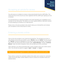

### <span id="page-4-0"></span>Accepting an article for review

You will receive an invitation to review a manuscript directly from the *JACR* office. The email will arrive to the account you have registered with the *JACR* upon signing up to be a reviewer.

It is essential that you respond promptly to this email indicating your availability to be a reviewer for the manuscript. This allows us to more rapidly identify an alternate reviewer to avoid delaying our timeline to an initial decision.

Please click on the link provided in the email to take you to ScholarOne and indicate your acceptance of the manuscript for review.

### Entering a review online

Click on the link provided in your email from ScholarOne. This will take you to the review. Please ensure that your profile is set to "Review" and not "Author" for this encounter; "Review" should be highlighted on the top bar under the journal logo. From the Review Center, the manuscript will be located under "Active Reviews." Choose "Continue Review" under the Action dropdown menu; this will take you to the scoresheet.

Upon selection, you will be presented with a series of fields to fill in your article assessment. You will also be asked to suggest "reject," "accept," or "revise."

Please note that your suggestion is visible only to the editor and not the author.

There will be a section for comments visible to the author and a section for comments visible only by the editor. Further details on how to construct an excellent review are detailed below.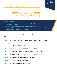### **Remember the Golden Rule:**

<span id="page-5-0"></span>Review the manuscript as you would want your work to be reviewed

- **• Be critical but kind.**
- **• Be timely in accepting or rejecting invite and completing review. Any response is better than no response.**
- **• Refrain from ad hominem comments and personal attacks.**
- **• Please do NOT comment on reject vs. accept in the comments to the author. Instead, place this in comments to the editor.**

If you are asked to review, please use the following questions to guide your thought process:

- 01 Is the proposed topic novel? Has something similar been previously published?
	- **a** If the topic is not novel, how does the manuscript add to the preexisting body of work in a unique way?
- **02** Has the rationale for the manuscript been clearly defined?
- **03** Are the concepts presented clearly defined with appropriate discussion?
- 04 Is the study design appropriate and reasonably free of potential bias?
- 05 Is the data properly analyzed with sound statistical methods?
- O6 Are the results clearly and concisely presented?
- 07 Is the manuscript appropriately referenced?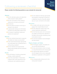# <span id="page-6-0"></span>Following a reviewer checklist

#### **Please consider the following questions as you evaluate the manuscript**

#### **Abstract**

- **□** Are the rationale, goals, and objectives of this research clearly stated?
- **□** Are the conclusions of the research clearly and concisely summarized?
- **□** Introduction
- **☐** Do the authors provide convincing rationale for the article?
- **□** Is appropriate background information provided and adequately referenced?
- **☐** Is a research hypothesis clearly presented and explained?

#### **Methods**

- **□** Are the methods described in appropriate detail and clearly reproducible?
- **□** Is the experimental design appropriate and reasonably free of potential bias or confounding variables?
- **□** Do the methods and experimental design appropriately test the proposed hypothesis?

#### **Results**

- **□** Are all findings, including unexpected findings, clearly explained?
- **☐** Does the presentation of data follow a logical order, well supported by the introduction and methods sections?

**□** Are the statistical methods appropriate and properly conducted? If review by a statistician may be of benefit, please say so in your comments to the editor.

#### **Discussion**

- **□** Is it written with clear and concise language, free of grammatical errors?
- **□** Are the objectives clearly met? Is the central hypothesis addressed?
- **☐** Do the final discussion and conclusions accurately summarize the collected information and provide something novel to this field of work?
- **□** Are all study limitations acknowledged and discussed?

#### **Figures, Graphs, and Tables**

- **☐** Do the figures, graphs, and tables follow all *JACR* specifications?
- **□** Do they demonstrate central concepts in a way that enhances the manuscript?
- **□** Are appropriate legends provided? Can the legends serve as an adequate standalone explanation of the graphic?

#### References

**□** Are all appropriate references for this manuscript included?

## Basic Reviewer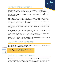### <span id="page-7-0"></span>Reviewer and author ethics



All submitting authors note that their work has not been published previously (except as an abstract or academic thesis), and that it is not under consideration for publication elsewhere. Authors confirm that the submission is their original work and includes no plagiarized content. They also complete a conflict-of-interest form upon submission.

As a reviewer, it is your ethical responsibility to keep the contents of the submitted manuscript confidential. Draft manuscripts should not be circulated or shared. The material presented in the manuscript is the intellectual property of the authors and should not be shared or used by the reviewer.

If the reviewer believes that they know the author's identity or if there is a perceived conflict of interest, the reviewer must contact the editor-in-chief and request the manuscript be reassigned.

If the reviewer has already reviewed the manuscript for another journal, this conflict should be disclosed to the editor-in-chief. In addition, if the reviewer feels that s/he does not have the content expertise to comment on the article, the reviewer should contact the editor-in-chief so that the manuscript can be reassigned.

If the reviewer is concerned about possible ethical misconduct in the article (such as plagiarism), the editor-in-chief should be contacted.

### Assessing statistical integrity

If the statistical approach is complex and would benefit from review by a statistician, please say so in your comments to the editor.



Read more in "Statistical Data Editing in Scientific Articles" by Farrokh Habibzadeh.

### Evaluating referenced material

Each reviewer should survey the referenced articles provided. If any citations seem questionable, the original paper can be accessed via Scopus. Every reference cited in the text should match a complete citation in the reference list and vice versa.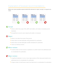### <span id="page-8-0"></span>Explanation of reviewer recommendations

Below are some possible reasons behind the decision to reject, accept, or request revisions.



### **Accept**

- Article is within the scope of the *JACR*, well written, and meets or exceeds journal standards.
- No significant concerns were raised by the editor or reviewers.

### **Reject**

- Article is not within the scope of the journal.
- Article does not meet adequate writing standards for publication.
- Article does not meet adequate scientific standards for publication.
- There is an ethical concern.

### **Minor revision**

• A small number of minor issues or questions on content need to be addressed prior to consideration for publication.

### **Major revision**

- A significant alteration in one or more major sections of the manuscript needs to be addressed prior to consideration for publication.
- A large number of small issues need to be fixed prior to consideration for publication.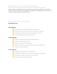### <span id="page-9-0"></span>Explanation of reviewer evaluation

After reviews are submitted, the journal editors score them according to the following criteria. These scores are used to determine eligibility for SA-CME (requires a score of 2 or above) and for reviewer recognition tiers.

### Reviewer Scoring System

### **Point System (1-3)**

### **1-Point Review:**

- Reviewer did not follow *JACR* reviewer guidelines
- Reveiw lacks constructive comments to authors and editor
- Provided decision does not match provided comments
- Review was submitted well past deadline.

### **2-Points Review:**

- Reviewer guidelines have been partially followed
- Some comments lack structure
- Some of the review lacks substance
- Portions of the manuscript have not been properly addressed
- **Review was submitted late**

#### 3-Points Review:

- Reviewer guidelines have been followed
- Comments provided are constructive, professional, and helpful
- Decision submitted is congruent with comments
- Review has been submitted on time